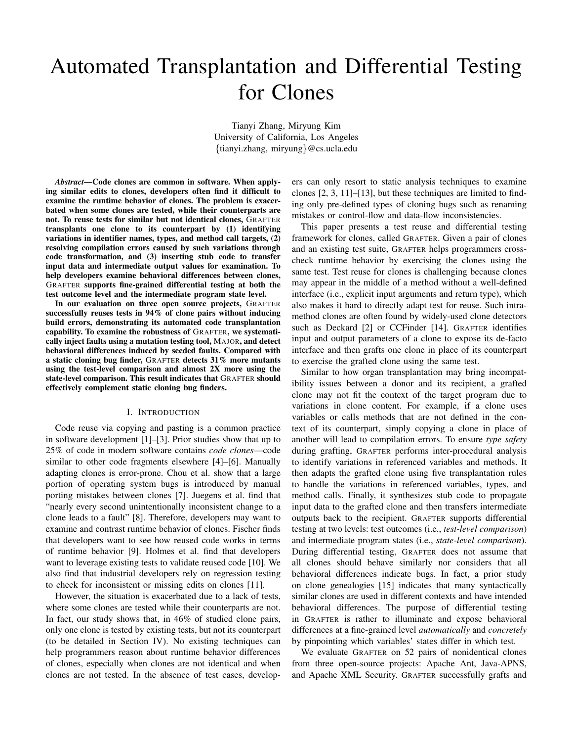# Automated Transplantation and Differential Testing for Clones

Tianyi Zhang, Miryung Kim University of California, Los Angeles {tianyi.zhang, miryung}@cs.ucla.edu

*Abstract*—Code clones are common in software. When applying similar edits to clones, developers often find it difficult to examine the runtime behavior of clones. The problem is exacerbated when some clones are tested, while their counterparts are not. To reuse tests for similar but not identical clones, GRAFTER transplants one clone to its counterpart by (1) identifying variations in identifier names, types, and method call targets, (2) resolving compilation errors caused by such variations through code transformation, and (3) inserting stub code to transfer input data and intermediate output values for examination. To help developers examine behavioral differences between clones, GRAFTER supports fine-grained differential testing at both the test outcome level and the intermediate program state level.

In our evaluation on three open source projects, GRAFTER successfully reuses tests in 94% of clone pairs without inducing build errors, demonstrating its automated code transplantation capability. To examine the robustness of GRAFTER, we systematically inject faults using a mutation testing tool, MAJOR, and detect behavioral differences induced by seeded faults. Compared with a static cloning bug finder, GRAFTER detects 31% more mutants using the test-level comparison and almost 2X more using the state-level comparison. This result indicates that GRAFTER should effectively complement static cloning bug finders.

# I. INTRODUCTION

Code reuse via copying and pasting is a common practice in software development [\[1\]](#page-10-0)–[\[3\]](#page-10-1). Prior studies show that up to 25% of code in modern software contains *code clones*—code similar to other code fragments elsewhere [\[4\]](#page-10-2)–[\[6\]](#page-10-3). Manually adapting clones is error-prone. Chou et al. show that a large portion of operating system bugs is introduced by manual porting mistakes between clones [\[7\]](#page-10-4). Juegens et al. find that "nearly every second unintentionally inconsistent change to a clone leads to a fault" [\[8\]](#page-10-5). Therefore, developers may want to examine and contrast runtime behavior of clones. Fischer finds that developers want to see how reused code works in terms of runtime behavior [\[9\]](#page-10-6). Holmes et al. find that developers want to leverage existing tests to validate reused code [\[10\]](#page-10-7). We also find that industrial developers rely on regression testing to check for inconsistent or missing edits on clones [\[11\]](#page-10-8).

However, the situation is exacerbated due to a lack of tests, where some clones are tested while their counterparts are not. In fact, our study shows that, in 46% of studied clone pairs, only one clone is tested by existing tests, but not its counterpart (to be detailed in Section [IV\)](#page-5-0). No existing techniques can help programmers reason about runtime behavior differences of clones, especially when clones are not identical and when clones are not tested. In the absence of test cases, developers can only resort to static analysis techniques to examine clones [\[2,](#page-10-9) [3,](#page-10-1) [11\]](#page-10-8)–[\[13\]](#page-10-10), but these techniques are limited to finding only pre-defined types of cloning bugs such as renaming mistakes or control-flow and data-flow inconsistencies.

This paper presents a test reuse and differential testing framework for clones, called GRAFTER. Given a pair of clones and an existing test suite, GRAFTER helps programmers crosscheck runtime behavior by exercising the clones using the same test. Test reuse for clones is challenging because clones may appear in the middle of a method without a well-defined interface (i.e., explicit input arguments and return type), which also makes it hard to directly adapt test for reuse. Such intramethod clones are often found by widely-used clone detectors such as Deckard [\[2\]](#page-10-9) or CCFinder [\[14\]](#page-10-11). GRAFTER identifies input and output parameters of a clone to expose its de-facto interface and then grafts one clone in place of its counterpart to exercise the grafted clone using the same test.

Similar to how organ transplantation may bring incompatibility issues between a donor and its recipient, a grafted clone may not fit the context of the target program due to variations in clone content. For example, if a clone uses variables or calls methods that are not defined in the context of its counterpart, simply copying a clone in place of another will lead to compilation errors. To ensure *type safety* during grafting, GRAFTER performs inter-procedural analysis to identify variations in referenced variables and methods. It then adapts the grafted clone using five transplantation rules to handle the variations in referenced variables, types, and method calls. Finally, it synthesizes stub code to propagate input data to the grafted clone and then transfers intermediate outputs back to the recipient. GRAFTER supports differential testing at two levels: test outcomes (i.e., *test-level comparison*) and intermediate program states (i.e., *state-level comparison*). During differential testing, GRAFTER does not assume that all clones should behave similarly nor considers that all behavioral differences indicate bugs. In fact, a prior study on clone genealogies [\[15\]](#page-10-12) indicates that many syntactically similar clones are used in different contexts and have intended behavioral differences. The purpose of differential testing in GRAFTER is rather to illuminate and expose behavioral differences at a fine-grained level *automatically* and *concretely* by pinpointing which variables' states differ in which test.

We evaluate GRAFTER on 52 pairs of nonidentical clones from three open-source projects: Apache Ant, Java-APNS, and Apache XML Security. GRAFTER successfully grafts and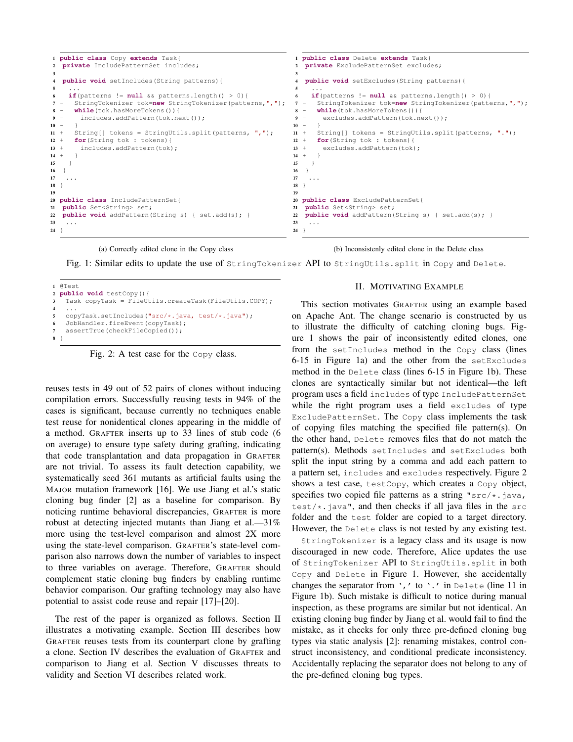<span id="page-1-1"></span>

(a) Correctly edited clone in the Copy class

(b) Inconsistenly edited clone in the Delete class

Fig. 1: Similar edits to update the use of StringTokenizer API to StringUtils.split in Copy and Delete.

```
1 @Test
2 public void testCopy(){
3 Task copyTask = FileUtils.createTask(FileUtils.COPY);
4 ...
5 copyTask.setIncludes("src/*.java, test/*.java");
   JobHandler.fireEvent(copyTask);
   assertTrue(checkFileCopied());
8 }
```
Fig. 2: A test case for the Copy class.

reuses tests in 49 out of 52 pairs of clones without inducing compilation errors. Successfully reusing tests in 94% of the cases is significant, because currently no techniques enable test reuse for nonidentical clones appearing in the middle of a method. GRAFTER inserts up to 33 lines of stub code (6 on average) to ensure type safety during grafting, indicating that code transplantation and data propagation in GRAFTER are not trivial. To assess its fault detection capability, we systematically seed 361 mutants as artificial faults using the MAJOR mutation framework [\[16\]](#page-10-13). We use Jiang et al.'s static cloning bug finder [\[2\]](#page-10-9) as a baseline for comparison. By noticing runtime behavioral discrepancies, GRAFTER is more robust at detecting injected mutants than Jiang et al.—31% more using the test-level comparison and almost 2X more using the state-level comparison. GRAFTER's state-level comparison also narrows down the number of variables to inspect to three variables on average. Therefore, GRAFTER should complement static cloning bug finders by enabling runtime behavior comparison. Our grafting technology may also have potential to assist code reuse and repair [\[17\]](#page-10-14)–[\[20\]](#page-10-15).

The rest of the paper is organized as follows. Section [II](#page-1-0) illustrates a motivating example. Section [III](#page-2-0) describes how GRAFTER reuses tests from its counterpart clone by grafting a clone. Section [IV](#page-5-0) describes the evaluation of GRAFTER and comparison to Jiang et al. Section [V](#page-8-0) discusses threats to validity and Section [VI](#page-8-1) describes related work.

## II. MOTIVATING EXAMPLE

<span id="page-1-0"></span>This section motivates GRAFTER using an example based on Apache Ant. The change scenario is constructed by us to illustrate the difficulty of catching cloning bugs. Figure [1](#page-1-1) shows the pair of inconsistently edited clones, one from the setIncludes method in the Copy class (lines 6-15 in Figure [1a](#page-1-1)) and the other from the setExcludes method in the Delete class (lines 6-15 in Figure [1b](#page-1-1)). These clones are syntactically similar but not identical—the left program uses a field includes of type IncludePatternSet while the right program uses a field excludes of type ExcludePatternSet. The Copy class implements the task of copying files matching the specified file pattern(s). On the other hand, Delete removes files that do not match the pattern(s). Methods setIncludes and setExcludes both split the input string by a comma and add each pattern to a pattern set, includes and excludes respectively. Figure [2](#page-1-2) shows a test case, testCopy, which creates a Copy object, specifies two copied file patterns as a string "src/\*.java, test/ $\star$ . java", and then checks if all java files in the src folder and the test folder are copied to a target directory. However, the Delete class is not tested by any existing test.

StringTokenizer is a legacy class and its usage is now discouraged in new code. Therefore, Alice updates the use of StringTokenizer API to StringUtils.split in both Copy and Delete in Figure [1.](#page-1-1) However, she accidentally changes the separator from  $\cdot$ ,  $\cdot$  to  $\cdot$ .  $\cdot$  in Delete (line 11 in Figure [1b](#page-1-1)). Such mistake is difficult to notice during manual inspection, as these programs are similar but not identical. An existing cloning bug finder by Jiang et al. would fail to find the mistake, as it checks for only three pre-defined cloning bug types via static analysis [\[2\]](#page-10-9): renaming mistakes, control construct inconsistency, and conditional predicate inconsistency. Accidentally replacing the separator does not belong to any of the pre-defined cloning bug types.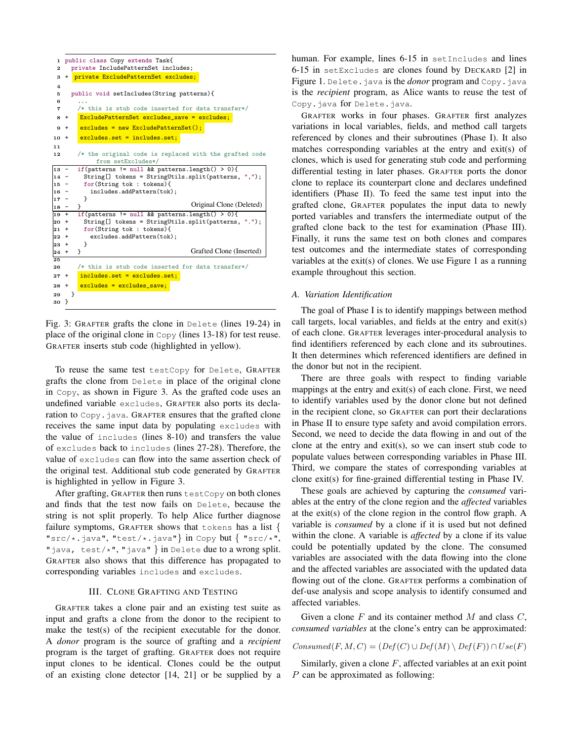```
1 public class Copy extends Task{
 2 private IncludePatternSet includes;
 3 + private ExcludePatternSet excludes;
 \lambda5 public void setIncludes(String patterns){
 6 ...
 7 /* this is stub code inserted for data transfer*/
 8 + ExcludePatternSet excludes_save = excludes;
 9 + excludes = new ExcludePatternSet();
10 + excludes.set = includes.set;
11
12 /* the original code is replaced with the grafted code
               from setExcludes*/
13 - if(patterns != null && patterns.length() > 0){<br>14 - String[] tokens = StringUtils.split(patterns
\begin{bmatrix} 14 & - & \text{String} \end{bmatrix} tokens = StringUtils.split(patterns, ",");<br>15 - for(String tok : tokens){
15 - for(String tok : tokens){<br>16 - includes.addPattern(tok)
          includes.addPattern(tok);<br>}
\frac{17}{18} -
\frac{18 - 3}{19 + 1}if(patterns != null && patterns.length() > 0){
20 + String[] tokens = StringUtils.split(patterns, ".");
21 + for(String tok : tokens){
          excludes.addPattern(tok);<br>}
\begin{array}{ccc} 23 & + \\ 24 & + \end{array}24 +\frac{1}{25}26 /* this is stub code inserted for data transfer*/
27 + includes.set = excludes.set;
28 + excludes = excludes_save;
29 }
30 }
                                                Original Clone (Deleted)
                                               Grafted Clone (Inserted)
```
Fig. 3: GRAFTER grafts the clone in Delete (lines 19-24) in set  $\frac{1}{2}$  is  $\frac{1}{2}$  on the set  $\frac{1}{2}$  on the set  $\frac{1}{2}$  on the set  $\frac{1}{2}$  on the set  $\frac{1}{2}$  of  $\frac{1}{2}$  on the set  $\frac{1}{2}$  of  $\frac{1}{2}$  on the set  $\frac{1}{2}$  on the set  $\frac{1}{2}$ place of the original clone in  $\text{Copy (lines 13-18)}$  for test reuse. GRAFTER inserts stub code (highlighted in yellow).

To reuse the same test testCopy for Delete, GRAFTER grafts the clone from Delete in place of the original clone in  $\text{Copy},$  as shown in Figure [3.](#page-2-1) As the grafted code uses an  $t_{\text{ref}}$ , as shown in Figure of the since grande code also and undefined variable excludes, GRAFTER also ports its declaration to Copy. java. GRAFTER ensures that the grafted clone the value of includes (lines 8-10) and transfers the value of excludes back to includes (lines 27-28). Therefore, the value of excludes can flow into the same assertion check of The original test. Additional stub code generated by GRAFTER is highlighted in yellow in Figure [3.](#page-2-1)  $t$  the domorrow in Figure 3. receives the same input data by populating excludes with

After grafting, GRAFTER then runs testCopy on both clones and finds that the test now fails on Delete, because the string is not split properly. To help Alice further diagnose failure symptoms, GRAFTER shows that tokens has a list { "src/\*.java", "test/\*.java"} in Copy but { "src/\*", "java, test/\*", "java" } in Delete due to a wrong split. GRAFTER also shows that this difference has propagated to  $\frac{1}{2}$ will be dive shows that this difference may propagated t corresponding variables includes and excludes.

# <span id="page-2-0"></span>title discussed in Phase II. III. CLONE GRAFTING AND TESTING

GRAFTER takes a clone pair and an existing test suite as input and grafts a clone from the donor to the recipient to mput and grafts a clone from the donor to the recipient to make the test(s) of the recipient executable for the donor.  $\mu$  is a second to the represent corresponding program statements,  $\mu$ A *donor* program is the source of grafting and a *recipient* program is the target of grafting. GRAFTER does not require input clones to be identical. Clones could be the output of an existing clone detector  $[14, 21]$  $[14, 21]$  or be supplied by a Copy.java for Delete.java. human. For example, lines 6-15 in setIncludes and lines 6-15 in setExcludes are clones found by DECKARD [\[2\]](#page-10-9) in Figure [1.](#page-1-1) Delete. java is the *donor* program and Copy. java is the *recipient* program, as Alice wants to reuse the test of

matches corresponding variables at the entry and exit(s) of ... referenced by clones and their subroutines (Phase I). It also variables at the exit(s) of clones. We use Figure [1](#page-1-1) as a running example throughout this section. differential testing in later phases. GRAFTER ports the donor identifiers (Phase II). To feed the same test input into the ported variables and transfers the intermediate output of the Finally, it runs the same test on both clones and compares clones, which is used for generating stub code and performing erafted clone back to the test for examination (Phase III). grafted clone, GRAFTER populates the input data to newly variations in local variables, fields, and method call targets clone to replace its counterpart clone and declares undefined GRAFTER works in four phases. GRAFTER first analyzes test outcomes and the intermediate states of corresponding

# Affectedexit2 = Use(clone) ∩ In-Scope(<exit2>) = {includes, patterns} *A. Variation Identification*

 $\begin{bmatrix} 1 & 0 & 0 \\ 0 & 1 & 0 \\ 0 & 0 & 0 \end{bmatrix}$  for the procedural control flow graph for the theory of the theory of the theory of the theory of the theory of the theory of the theory of the theory of the theory of the theory o The goal of Phase I is to identify mappings between method call targets, local variables, and fields at the entry and exit(s) of each clone. GRAFTER leverages inter-procedural analysis to find identifiers referenced by each clone and its subroutines. It then determines which referenced identifiers are defined in the donor but not in the recipient.

There are three goals with respect to finding variable mappings at the entry and exit(s) of each clone. First, we need to identify variables used by the donor clone but not defined in the recipient clone, so GRAFTER can port their declarations In the recipient clone, so GRAFTER can port their declarations<br>in Phase II to ensure type safety and avoid compilation errors. cial context so we can provide the can provide compliance context. Second, we need to decide the data flowing in and out of the clone at the entry and  $exit(s)$ , so we can insert stub code to populate values between corresponding variables in Phase III. Third, we compare the states of corresponding variables at clone exit(s) for fine-grained differential testing in Phase IV.

These goals are achieved by capturing the *consumed* varithese graphs are a concrete by capturing the *consumed* variable ables at the entry of the clone region and the *affected* variables at the exit(s) of the clone region in the control flow graph. A variable is *consumed* by a clone if it is used but not defined within the clone. A variable is *affected* by a clone if its value could be potentially updated by the clone. The consumed variables are associated with the data flowing into the clone and the affected variables are associated with the updated data and the affected variables are associated with the applated data<br>flowing out of the clone. GRAFTER performs a combination of variables of the crone, can't the performs a complement of def-use analysis and scope analysis to identify consumed and affected variables.

Given a clone  $F$  and its container method  $M$  and class  $C$ , statement variables at the clone's entry can be approximated *consumed variables* at the clone's entry can be approximated:

 $Consumed(F, M, C) = (Def(C) \cup Def(M) \setminus Def(F)) \cap Use(F)$ 

Similarly, given a clone  $F$ , affected variables at an exit point  $P$  can be approximated as following: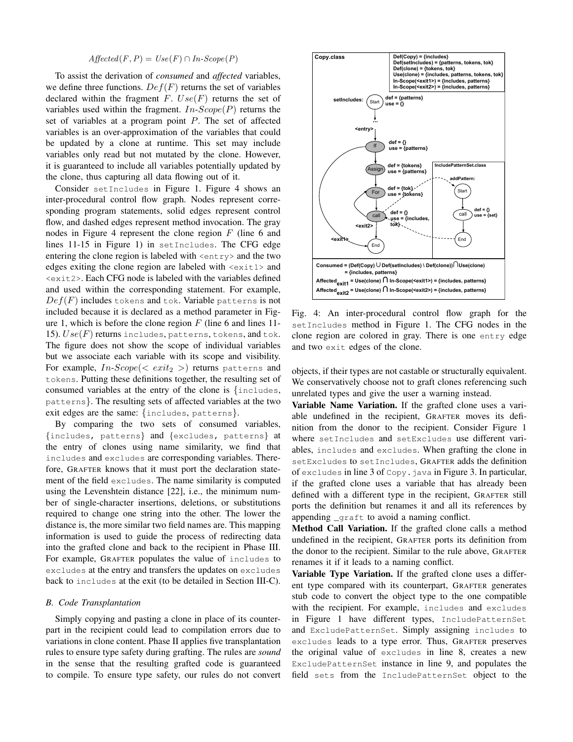# $A \text{ffected}(F, P) = \text{Use}(F) \cap \text{In-Scope}(P)$

To assist the derivation of *consumed* and *affected* variables, we define three functions.  $Def(F)$  returns the set of variables declared within the fragment  $F. Use(F)$  returns the set of variables used within the fragment.  $In-Scope(P)$  returns the set of variables at a program point P. The set of affected variables is an over-approximation of the variables that could be updated by a clone at runtime. This set may include variables only read but not mutated by the clone. However, it is guaranteed to include all variables potentially updated by the clone, thus capturing all data flowing out of it.

Consider setIncludes in Figure [1.](#page-1-1) Figure [4](#page-3-0) shows an inter-procedural control flow graph. Nodes represent corresponding program statements, solid edges represent control flow, and dashed edges represent method invocation. The gray nodes in Figure [4](#page-3-0) represent the clone region  $F$  (line 6 and lines 11-15 in Figure [1\)](#page-1-1) in setIncludes. The CFG edge entering the clone region is labeled with  $\langle$ entry> and the two edges exiting the clone region are labeled with <exit1> and <exit2>. Each CFG node is labeled with the variables defined and used within the corresponding statement. For example,  $Def(F)$  includes tokens and tok. Variable patterns is not included because it is declared as a method parameter in Fig-ure [1,](#page-1-1) which is before the clone region  $F$  (line 6 and lines 11-15).  $Use(F)$  returns includes, patterns, tokens, and tok. The figure does not show the scope of individual variables but we associate each variable with its scope and visibility. For example,  $In-Scope(<>exit<sub>2</sub>>)$  returns patterns and tokens. Putting these definitions together, the resulting set of consumed variables at the entry of the clone is {includes, patterns}. The resulting sets of affected variables at the two exit edges are the same: {includes, patterns}.

By comparing the two sets of consumed variables, {includes, patterns} and {excludes, patterns} at the entry of clones using name similarity, we find that includes and excludes are corresponding variables. Therefore, GRAFTER knows that it must port the declaration statement of the field excludes. The name similarity is computed using the Levenshtein distance [\[22\]](#page-10-17), i.e., the minimum number of single-character insertions, deletions, or substitutions required to change one string into the other. The lower the distance is, the more similar two field names are. This mapping information is used to guide the process of redirecting data into the grafted clone and back to the recipient in Phase III. For example, GRAFTER populates the value of includes to excludes at the entry and transfers the updates on excludes back to includes at the exit (to be detailed in Section [III-C\)](#page-4-0).

### <span id="page-3-1"></span>*B. Code Transplantation*

Simply copying and pasting a clone in place of its counterpart in the recipient could lead to compilation errors due to variations in clone content. Phase II applies five transplantation rules to ensure type safety during grafting. The rules are *sound* in the sense that the resulting grafted code is guaranteed to compile. To ensure type safety, our rules do not convert

<span id="page-3-0"></span>

Fig. 4: An inter-procedural control flow graph for the setIncludes method in Figure [1.](#page-1-1) The CFG nodes in the clone region are colored in gray. There is one entry edge and two exit edges of the clone.

objects, if their types are not castable or structurally equivalent. We conservatively choose not to graft clones referencing such unrelated types and give the user a warning instead.

Variable Name Variation. If the grafted clone uses a variable undefined in the recipient, GRAFTER moves its definition from the donor to the recipient. Consider Figure [1](#page-1-1) where setIncludes and setExcludes use different variables, includes and excludes. When grafting the clone in setExcludes to setIncludes, GRAFTER adds the definition of excludes in line 3 of Copy. java in Figure [3.](#page-2-1) In particular, if the grafted clone uses a variable that has already been defined with a different type in the recipient, GRAFTER still ports the definition but renames it and all its references by appending \_graft to avoid a naming conflict.

Method Call Variation. If the grafted clone calls a method undefined in the recipient, GRAFTER ports its definition from the donor to the recipient. Similar to the rule above, GRAFTER renames it if it leads to a naming conflict.

Variable Type Variation. If the grafted clone uses a different type compared with its counterpart, GRAFTER generates stub code to convert the object type to the one compatible with the recipient. For example, includes and excludes in Figure [1](#page-1-1) have different types, IncludePatternSet and ExcludePatternSet. Simply assigning includes to excludes leads to a type error. Thus, GRAFTER preserves the original value of excludes in line 8, creates a new ExcludePatternSet instance in line 9, and populates the field sets from the IncludePatternSet object to the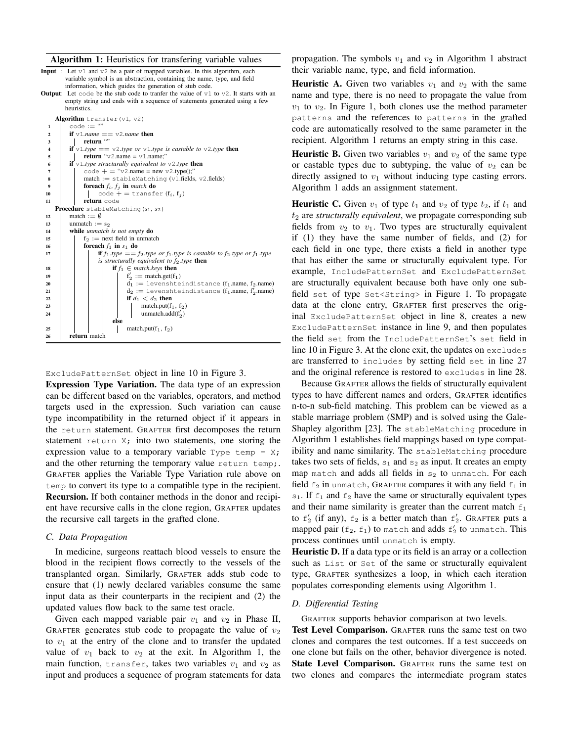#### <span id="page-4-1"></span>Algorithm 1: Heuristics for transfering variable values

- **Input** : Let  $v1$  and  $v2$  be a pair of mapped variables. In this algorithm, each variable symbol is an abstraction, containing the name, type, and field information, which guides the generation of stub code.
- **Output:** Let code be the stub code to tranfer the value of  $v1$  to  $v2$ . It starts with an empty string and ends with a sequence of statements generated using a few heuristics.



ExcludePatternSet object in line 10 in Figure [3.](#page-2-1)

Expression Type Variation. The data type of an expression can be different based on the variables, operators, and method targets used in the expression. Such variation can cause type incompatibility in the returned object if it appears in the return statement. GRAFTER first decomposes the return statement return X; into two statements, one storing the expression value to a temporary variable  $Type \text{ temp} = X;$ and the other returning the temporary value return temp;. GRAFTER applies the Variable Type Variation rule above on temp to convert its type to a compatible type in the recipient. Recursion. If both container methods in the donor and recipient have recursive calls in the clone region, GRAFTER updates the recursive call targets in the grafted clone.

#### <span id="page-4-0"></span>*C. Data Propagation*

In medicine, surgeons reattach blood vessels to ensure the blood in the recipient flows correctly to the vessels of the transplanted organ. Similarly, GRAFTER adds stub code to ensure that (1) newly declared variables consume the same input data as their counterparts in the recipient and (2) the updated values flow back to the same test oracle.

Given each mapped variable pair  $v_1$  and  $v_2$  in Phase II, GRAFTER generates stub code to propagate the value of  $v_2$ to  $v_1$  at the entry of the clone and to transfer the updated value of  $v_1$  back to  $v_2$  at the exit. In Algorithm [1,](#page-4-1) the main function, transfer, takes two variables  $v_1$  and  $v_2$  as input and produces a sequence of program statements for data

propagation. The symbols  $v_1$  and  $v_2$  in Algorithm [1](#page-4-1) abstract their variable name, type, and field information.

**Heuristic A.** Given two variables  $v_1$  and  $v_2$  with the same name and type, there is no need to propagate the value from  $v_1$  to  $v_2$ . In Figure [1,](#page-1-1) both clones use the method parameter patterns and the references to patterns in the grafted code are automatically resolved to the same parameter in the recipient. Algorithm [1](#page-4-1) returns an empty string in this case.

**Heuristic B.** Given two variables  $v_1$  and  $v_2$  of the same type or castable types due to subtyping, the value of  $v_2$  can be directly assigned to  $v_1$  without inducing type casting errors. Algorithm [1](#page-4-1) adds an assignment statement.

**Heuristic C.** Given  $v_1$  of type  $t_1$  and  $v_2$  of type  $t_2$ , if  $t_1$  and t<sup>2</sup> are *structurally equivalent*, we propagate corresponding sub fields from  $v_2$  to  $v_1$ . Two types are structurally equivalent if (1) they have the same number of fields, and (2) for each field in one type, there exists a field in another type that has either the same or structurally equivalent type. For example, IncludePatternSet and ExcludePatternSet are structurally equivalent because both have only one subfield set of type Set<String> in Figure [1.](#page-1-1) To propagate data at the clone entry, GRAFTER first preserves the original ExcludePatternSet object in line 8, creates a new ExcludePatternSet instance in line 9, and then populates the field set from the IncludePatternSet's set field in line 10 in Figure [3.](#page-2-1) At the clone exit, the updates on excludes are transferred to includes by setting field set in line 27 and the original reference is restored to excludes in line 28.

Because GRAFTER allows the fields of structurally equivalent types to have different names and orders, GRAFTER identifies n-to-n sub-field matching. This problem can be viewed as a stable marriage problem (SMP) and is solved using the Gale-Shapley algorithm [\[23\]](#page-10-18). The stableMatching procedure in Algorithm [1](#page-4-1) establishes field mappings based on type compatibility and name similarity. The stableMatching procedure takes two sets of fields,  $s_1$  and  $s_2$  as input. It creates an empty map match and adds all fields in  $s_2$  to unmatch. For each field  $f_2$  in unmatch, GRAFTER compares it with any field  $f_1$  in  $s_1$ . If  $f_1$  and  $f_2$  have the same or structurally equivalent types and their name similarity is greater than the current match  $f_1$ to  $f_2$  (if any),  $f_2$  is a better match than  $f_2'$ . GRAFTER puts a mapped pair ( $f_2$ ,  $f_1$ ) to match and adds  $f'_2$  to unmatch. This process continues until unmatch is empty.

Heuristic D. If a data type or its field is an array or a collection such as List or Set of the same or structurally equivalent type, GRAFTER synthesizes a loop, in which each iteration populates corresponding elements using Algorithm [1.](#page-4-1)

# *D. Differential Testing*

GRAFTER supports behavior comparison at two levels.

Test Level Comparison. GRAFTER runs the same test on two clones and compares the test outcomes. If a test succeeds on one clone but fails on the other, behavior divergence is noted. State Level Comparison. GRAFTER runs the same test on two clones and compares the intermediate program states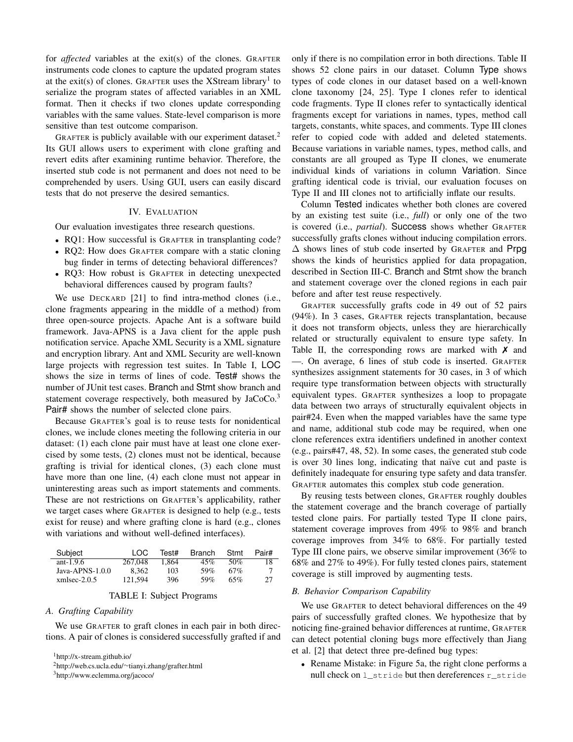for *affected* variables at the exit(s) of the clones. GRAFTER instruments code clones to capture the updated program states at the exit(s) of clones. GRAFTER uses the XStream library<sup>[1](#page-5-1)</sup> to serialize the program states of affected variables in an XML format. Then it checks if two clones update corresponding variables with the same values. State-level comparison is more sensitive than test outcome comparison.

GRAFTER is publicly available with our experiment dataset.<sup>[2](#page-5-2)</sup> Its GUI allows users to experiment with clone grafting and revert edits after examining runtime behavior. Therefore, the inserted stub code is not permanent and does not need to be comprehended by users. Using GUI, users can easily discard tests that do not preserve the desired semantics.

## IV. EVALUATION

<span id="page-5-0"></span>Our evaluation investigates three research questions.

- RQ1: How successful is GRAFTER in transplanting code?
- RQ2: How does GRAFTER compare with a static cloning bug finder in terms of detecting behavioral differences?
- RQ3: How robust is GRAFTER in detecting unexpected behavioral differences caused by program faults?

We use DECKARD [\[21\]](#page-10-16) to find intra-method clones (i.e., clone fragments appearing in the middle of a method) from three open-source projects. Apache Ant is a software build framework. Java-APNS is a Java client for the apple push notification service. Apache XML Security is a XML signature and encryption library. Ant and XML Security are well-known large projects with regression test suites. In Table [I,](#page-5-3) LOC shows the size in terms of lines of code. Test# shows the number of JUnit test cases. Branch and Stmt show branch and statement coverage respectively, both measured by JaCoCo.<sup>[3](#page-5-4)</sup> Pair# shows the number of selected clone pairs.

Because GRAFTER's goal is to reuse tests for nonidentical clones, we include clones meeting the following criteria in our dataset: (1) each clone pair must have at least one clone exercised by some tests, (2) clones must not be identical, because grafting is trivial for identical clones, (3) each clone must have more than one line, (4) each clone must not appear in uninteresting areas such as import statements and comments. These are not restrictions on GRAFTER's applicability, rather we target cases where GRAFTER is designed to help (e.g., tests exist for reuse) and where grafting clone is hard (e.g., clones with variations and without well-defined interfaces).

<span id="page-5-3"></span>

| Subject            | 1 O.C   | Test# | Branch | Stmt | Pair#  |
|--------------------|---------|-------|--------|------|--------|
| ant-1.9.6          | 267.048 | 1.864 | 45%    | 50%  | 18     |
| Java-APNS- $1.0.0$ | 8.362   | 103   | 59%    | 67%  | $\tau$ |
| $xmlsec-2.0.5$     | 121.594 | 396   | 59%    | 65%  | 27     |

#### TABLE I: Subject Programs

#### *A. Grafting Capability*

We use GRAFTER to graft clones in each pair in both directions. A pair of clones is considered successfully grafted if and

<span id="page-5-1"></span><sup>1</sup><http://x-stream.github.io/>

<span id="page-5-2"></span><sup>2</sup>http://web.cs.ucla.edu/∼[tianyi.zhang/grafter.html](http://web.cs.ucla.edu/~tianyi.zhang/grafter.html)

<span id="page-5-4"></span><sup>3</sup><http://www.eclemma.org/jacoco/>

only if there is no compilation error in both directions. Table [II](#page-6-0) shows 52 clone pairs in our dataset. Column Type shows types of code clones in our dataset based on a well-known clone taxonomy [\[24,](#page-10-19) [25\]](#page-10-20). Type I clones refer to identical code fragments. Type II clones refer to syntactically identical fragments except for variations in names, types, method call targets, constants, white spaces, and comments. Type III clones refer to copied code with added and deleted statements. Because variations in variable names, types, method calls, and constants are all grouped as Type II clones, we enumerate individual kinds of variations in column Variation. Since grafting identical code is trivial, our evaluation focuses on Type II and III clones not to artificially inflate our results.

Column Tested indicates whether both clones are covered by an existing test suite (i.e., *full*) or only one of the two is covered (i.e., *partial*). Success shows whether GRAFTER successfully grafts clones without inducing compilation errors.  $\Delta$  shows lines of stub code inserted by GRAFTER and Prpg shows the kinds of heuristics applied for data propagation, described in Section [III-C.](#page-4-0) Branch and Stmt show the branch and statement coverage over the cloned regions in each pair before and after test reuse respectively.

GRAFTER successfully grafts code in 49 out of 52 pairs (94%). In 3 cases, GRAFTER rejects transplantation, because it does not transform objects, unless they are hierarchically related or structurally equivalent to ensure type safety. In Table [II,](#page-6-0) the corresponding rows are marked with  $\chi$  and —. On average, 6 lines of stub code is inserted. GRAFTER synthesizes assignment statements for 30 cases, in 3 of which require type transformation between objects with structurally equivalent types. GRAFTER synthesizes a loop to propagate data between two arrays of structurally equivalent objects in pair#24. Even when the mapped variables have the same type and name, additional stub code may be required, when one clone references extra identifiers undefined in another context (e.g., pairs#47, 48, 52). In some cases, the generated stub code is over 30 lines long, indicating that naïve cut and paste is definitely inadequate for ensuring type safety and data transfer. GRAFTER automates this complex stub code generation.

By reusing tests between clones, GRAFTER roughly doubles the statement coverage and the branch coverage of partially tested clone pairs. For partially tested Type II clone pairs, statement coverage improves from 49% to 98% and branch coverage improves from 34% to 68%. For partially tested Type III clone pairs, we observe similar improvement (36% to 68% and 27% to 49%). For fully tested clones pairs, statement coverage is still improved by augmenting tests.

# <span id="page-5-5"></span>*B. Behavior Comparison Capability*

We use GRAFTER to detect behavioral differences on the 49 pairs of successfully grafted clones. We hypothesize that by noticing fine-grained behavior differences at runtime, GRAFTER can detect potential cloning bugs more effectively than Jiang et al. [\[2\]](#page-10-9) that detect three pre-defined bug types:

• Rename Mistake: in Figure [5a](#page-7-0), the right clone performs a null check on l\_stride but then dereferences r\_stride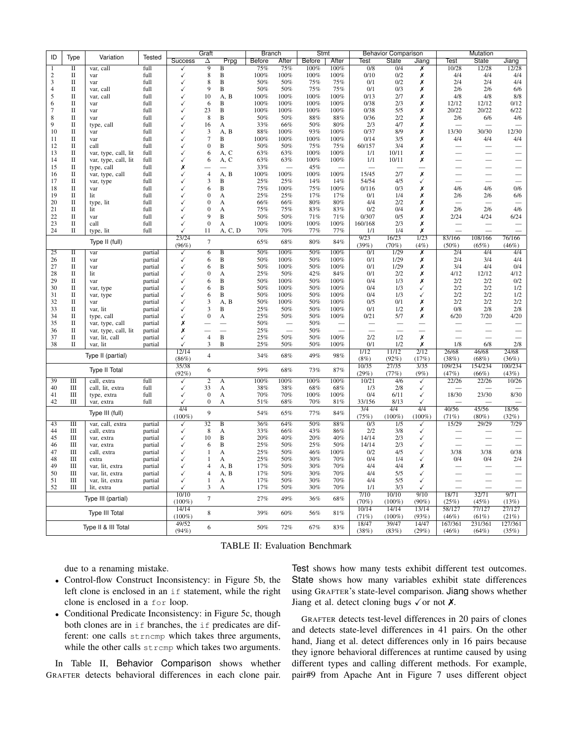<span id="page-6-0"></span>

| ID             |                             |                       |         |                | Graft            |                | <b>Branch</b> |       | Stmt   |        | <b>Behavior Comparison</b> |                  |               | Mutation         |                  |                  |
|----------------|-----------------------------|-----------------------|---------|----------------|------------------|----------------|---------------|-------|--------|--------|----------------------------|------------------|---------------|------------------|------------------|------------------|
|                | Type                        | Variation             | Tested  | <b>Success</b> | Δ                | Prpg           | Before        | After | Before | After  | Test                       | State            | Jiang         | Test             | State            | Jiang            |
| -1             | $\overline{\mathbf{u}}$     | var, call             | full    | √              | $\overline{9}$   | B              | 75%           | 75%   | 100%   | 100%   | 0/8                        | 0/4              | Х             | 10/28            | 12/28            | 12/28            |
| 2              | П                           | var                   | full    | ✓              | $\,$ 8 $\,$      | B              | 100%          | 100%  | 100%   | 100%   | 0/10                       | 0/2              | Х             | 4/4              | 4/4              | 4/4              |
| 3              | П                           | var                   | full    |                | 8                | B              | 50%           | 50%   | 75%    | 75%    | 0/1                        | 0/2              | Х             | 2/4              | 2/4              | 4/4              |
| $\overline{4}$ | П                           | var, call             | full    |                | 9                | В              | 50%           | 50%   | 75%    | 75%    | 0/1                        | 0/3              | Х             | 2/6              | 2/6              | 6/6              |
| 5              | $\rm II$                    | var, call             | full    |                | 10               | A, B           | 100%          | 100%  | 100%   | 100%   | 0/13                       | 2/7              | Х             | 4/8              | 4/8              | 8/8              |
| 6              | $\mathbf{I}$                | var                   | full    |                | 6                | B              | 100%          | 100%  | 100%   | 100%   | 0/38                       | 2/3              | Х             | 12/12            | 12/12            | 0/12             |
| 7              | $\rm II$                    | var                   | full    |                | 23               | B              | 100%          | 100%  | 100%   | 100%   | 0/38                       | 5/5              | Х             | 20/22            | 20/22            | 6/22             |
| 8              | $\mathbf{I}$                | var                   | full    |                | 8                | B              | 50%           | 50%   | 88%    | 88%    | 0/36                       | 2/2              | Х             | 2/6              | 6/6              | 4/6              |
| 9              | П                           | type, call            | full    |                | 16               | А              | 33%           | 66%   | 50%    | 80%    | 2/3                        | 4/7              | Х             |                  |                  |                  |
| 10             | $\mathbf{I}$                | var                   | full    |                | $\mathfrak{Z}$   | A,<br>B        | 88%           | 100%  | 93%    | 100%   | 0/37                       | 8/9              | Х             | 13/30            | 30/30            | 12/30            |
| 11             | $\mathbf{I}$                | var                   | full    |                | $\tau$           | B              | 100%          | 100%  | 100%   | 100%   | 0/14                       | 3/5              | Х             | 4/4              | 4/4              | 4/4              |
| 12             | П                           | call                  | full    |                | $\boldsymbol{0}$ | B              | 50%           | 50%   | 75%    | 75%    | 60/157                     | 3/4              | Х             |                  |                  |                  |
| 13             | $\rm II$                    | var, type, call, lit  | full    |                | 6                | A, C           | 63%           | 63%   | 100%   | 100%   | 1/1                        | 10/11            | Х             |                  |                  |                  |
| 14             | П                           | var, type, call, lit  | full    |                | 6                | A, C           | 63%           | 63%   | 100%   | 100%   | 1/1                        | 10/11            | Х             |                  |                  |                  |
| 15             | $\mathbf{I}$                | type, call            | full    | Х              |                  |                | 33%           |       | 45%    |        |                            |                  |               |                  |                  |                  |
| 16             | $\mathbf{I}$                | var, type, call       | full    |                | $\overline{4}$   | A, B           | 100%          | 100%  | 100%   | 100%   | 15/45                      | 2/7              | X             |                  |                  |                  |
| 17             | $\mathbf{I}$                | var, type             | full    |                | 3                | В              | 25%           | 25%   | 14%    | 14%    | 54/54                      | 4/5              | ✓             |                  |                  |                  |
| 18             | П                           | var                   | full    |                | 6                | B              | 75%           | 100%  | 75%    | 100%   | 0/116                      | 0/3              | Х             | 4/6              | 4/6              | 0/6              |
| 19             | $\mathbf{I}$                | lit                   | full    |                | $\mathbf{0}$     | A              | 25%           | 25%   | 17%    | 17%    | 0/1                        | 1/4              | Х             | 2/6              | 2/6              | 6/6              |
| 20             | $\mathbf{I}$                | type, lit             | full    |                | 0                | А              | 66%           | 66%   | 80%    | 80%    | 4/4                        | 2/2              | Х             |                  |                  |                  |
| 21             | $\mathbf{I}$                | lit                   | full    |                | $\mathbf{0}$     | A              | 75%           | 75%   | 83%    | 83%    | 0/2                        | 0/4              | Х             | 2/6              | 2/6              | 4/6              |
| 22             | $\mathbf{I}$                | var                   | full    |                | 9                | B              | 50%           | 50%   | 71%    | 71%    | 0/307                      | 0/5              | Х             | 2/24             | 4/24             | 6/24             |
| 23             | $\mathbf{I}$                | call                  | full    |                | $\mathbf{0}$     | A              | 100%          | 100%  | 100%   | 100%   | 160/168                    | 2/3              | Х             |                  |                  |                  |
| 24             | $\mathbf{I}$                | type, lit             | full    |                | 11               | A, C, D        | 70%           | 70%   | 77%    | 77%    | 1/1                        | 1/4              | х             |                  |                  |                  |
|                |                             |                       |         | 23/24          | $\overline{7}$   |                |               |       |        |        | 9/23                       | 16/23            | 1/23          | 83/166           | 108/166          | 76/166           |
|                |                             | Type II (full)        |         | (96%)          |                  |                | 65%           | 68%   | 80%    | 84%    | (39%)                      | (70%)            | (4%)          | $(50\%)$         | (65%)            | (46%)            |
| 25             | Π                           | var                   | partial | ✓              | 6                | B              | 50%           | 100%  | 50%    | 100%   | 0/1                        | 1/29             | Х             | 2/4              | 4/4              | 4/4              |
| 26             | П                           | var                   | partial |                | 6                | B              | 50%           | 100%  | 50%    | 100%   | 0/1                        | 1/29             | Х             | 2/4              | 3/4              | 4/4              |
| 27             | $\mathbf{I}$                | var                   | partial | ✓              | 6                | B              | 50%           | 100%  | 50%    | 100%   | 0/1                        | 1/29             | Х             | 3/4              | 4/4              | 0/4              |
| 28             | $\mathbf{I}$                | lit                   | partial | ✓              | $\boldsymbol{0}$ | A              | 25%           | 50%   | 42%    | 84%    | 0/1                        | 2/2              | Х             | 4/12             | 12/12            | 4/12             |
| 29             | $\rm II$                    | var                   | partial |                | 6                | B              | 50%           | 100%  | 50%    | 100%   | 0/4                        | 1/3              | Х             | 2/2              | 2/2              | 0/2              |
| 30             | П                           | var, type             | partial |                | 6                | B              | 50%           | 100%  | 50%    | 100%   | 0/4                        | 1/3              | ✓             | 2/2              | 2/2              | 1/2              |
| 31             | П                           | var, type             | partial |                | 6                | B              | 50%           | 100%  | 50%    | 100%   | 0/4                        | 1/3              | ✓             | 2/2              | 2/2              | 1/2              |
| 32             | $\rm II$                    | var                   | partial |                | 3                | A,<br>B        | 50%           | 100%  | 50%    | 100%   | 0/5                        | 0/1              | Х             | 2/2              | 2/2              | 2/2              |
| 33             | П                           | var, lit              | partial |                | 3                | B              | 25%           | 50%   | 50%    | 100%   | 0/1                        | 1/2              | Х             | 0/8              | 2/8              | 2/8              |
| 34             | П                           | type, call            | partial |                | $\mathbf{0}$     | А              | 25%           | 50%   | 50%    | 100%   | 0/21                       | 5/7              | Х             | 6/20             | 7/20             | 4/20             |
| 35             | П                           | var, type, call       | partial | х              |                  |                | 50%           |       | 50%    |        |                            |                  |               |                  |                  |                  |
| 36             | $\mathbf{I}$                | var, type, call, lit  | partial | Х              |                  |                | 25%           |       | 50%    |        |                            |                  |               |                  |                  |                  |
| 37             | $\mathbf{I}$                | var, lit, call        | partial |                | $\overline{4}$   | $\, {\bf B}$   | 25%           | 50%   | 50%    | 100%   | 2/2                        | 1/2              | Х             |                  |                  |                  |
| 38             | П                           | var, lit              | partial |                | 3                | B              | 25%           | 50%   | 50%    | 100%   | 0/1                        | 1/2              | Х             | 1/8              | 6/8              | 2/8              |
|                |                             | Type II (partial)     |         | 12/14          | $\overline{4}$   |                | 34%           | 68%   | 49%    | 98%    | 1/12                       | 11/12            | 2/12          | 26/68            | 46/68            | 24/68            |
|                |                             |                       |         | (86%)<br>35/38 |                  |                |               |       |        |        | (8%)<br>10/35              | (92%)<br>27/35   | (17%)<br>3/35 | (38%)<br>109/234 | (68%)<br>154/234 | (36%)<br>100/234 |
|                |                             | Type II Total         |         | (92%)          | 6                |                | 59%           | 68%   | 73%    | $87\%$ | (29%)                      | (77%)            | (9%)          | (47%)            | (66%)            | (43%)            |
| 39             | $\overline{\mathbf{H}}$     | call, extra           | full    | √              | $\overline{2}$   | A              | 100%          | 100%  | 100%   | 100%   | 10/21                      | 4/6              | ✓             | 22/26            | 22/26            | 10/26            |
| 40             | Ш                           | call, lit, extra      | full    | ✓              | 33               | A              | 38%           | 38%   | 68%    | 68%    | 1/3                        | 2/8              | ✓             |                  |                  |                  |
| 41             | Ш                           | type, extra           | full    | ✓              | $\mathbf{0}$     | А              | 70%           | 70%   | 100%   | 100%   | 0/4                        | 6/11             | ✓             | 18/30            | 23/30            | 8/30             |
| 42             | Ш                           | var, extra            | full    |                | $\mathbf{0}$     | А              | 51%           | 68%   | 70%    | 81%    | 33/156                     | 8/13             | ✓             |                  |                  |                  |
|                |                             |                       |         | 4/4            |                  |                |               |       |        |        | $\overline{3/4}$           | 4/4              | 4/4           | 40/56            | 45/56            | 18/56            |
|                |                             | Type III (full)       |         | $(100\%)$      | 9                |                | 54%           | 65%   | 77%    | 84%    | (75%)                      | $(100\%)$        | $(100\%)$     | (71%)            | $(80\%)$         | (32%)            |
| 43             | $\overline{\mathbf{H}}$     | var, call, extra      | partial | √              | $\overline{32}$  | $\overline{B}$ | 36%           | 64%   | 50%    | 88%    | $\overline{0/3}$           | $\overline{1/5}$ | √             | 15/29            | 29/29            | 7/29             |
| 44             | Ш                           | call, extra           | partial | ✓              | 8                | A              | 33%           | 66%   | 43%    | 86%    | 2/2                        | 3/8              | ✓             |                  |                  |                  |
| 45             | Ш                           | var, extra            | partial |                | 10               | B              | 20%           | 40%   | 20%    | 40%    | 14/14                      | 2/3              | ✓             |                  |                  |                  |
| 46             | Ш                           | var, extra            | partial |                | 6                | B              | 25%           | 50%   | 25%    | 50%    | 14/14                      | 2/3              | ✓             |                  |                  |                  |
| 47             | Ш                           | call, extra           | partial |                | 1                | A              | 25%           | 50%   | 46%    | 100%   | 0/2                        | 4/5              | ✓             | 3/38             | 3/38             | 0/38             |
| 48             | Ш                           | extra                 | partial |                | -1               | A              | 25%           | 50%   | 30%    | 70%    | 0/4                        | 1/4              | ✓             | 0/4              | 0/4              | 2/4              |
| 49             | Ш                           | var, lit, extra       | partial |                | 4                | A, B           | 17%           | 50%   | 30%    | 70%    | 4/4                        | 4/4              | Х             |                  |                  |                  |
| 50             | $\mathop{\rm III}\nolimits$ | var, lit, extra       | partial |                | 4                | A, B           | 17%           | 50%   | 30%    | 70%    | 4/4                        | 5/5              | ✓             |                  |                  |                  |
| 51             | Ш                           | var, lit, extra       | partial | ✓              | $\mathbf{1}$     | A              | 17%           | 50%   | 30%    | 70%    | 4/4                        | 5/5              | ✓             |                  |                  |                  |
| 52             | Ш                           | lit, extra            | partial | ✓              | 3                | A              | 17%           | 50%   | 30%    | 70%    | 1/1                        | 3/3              | ✓             |                  |                  |                  |
|                |                             | Type III (partial)    |         | 10/10          | $\overline{7}$   |                | 27%           | 49%   | 36%    | 68%    | 7/10                       | 10/10            | 9/10          | 18/71            | 32/71            | 9/71             |
|                |                             |                       |         | $(100\%)$      |                  |                |               |       |        |        | (70%)                      | $(100\%)$        | $(90\%)$      | (25%)            | (45%)            | (13%)            |
|                |                             | <b>Type III Total</b> |         | 14/14          | 8                |                | 39%           | 60%   | 56%    | $81\%$ | 10/14                      | 14/14            | 13/14         | 58/127           | 77/127           | 27/127           |
|                |                             |                       |         | $(100\%)$      |                  |                |               |       |        |        | (71%)                      | $(100\%)$        | (93%)         | (46%)            | (61%)            | (21%)            |
|                |                             | Type II & III Total   |         | 49/52<br>(94%) | 6                |                | 50%           | 72%   | 67%    | 83%    | 18/47                      | 39/47            | 14/47         | 167/361          | 231/361          | 127/361          |
|                |                             |                       |         |                |                  |                |               |       |        |        | (38%)                      | (83%)            | (29%)         | (46%)            | (64%)            | (35%)            |

TABLE II: Evaluation Benchmark

due to a renaming mistake.

- Control-flow Construct Inconsistency: in Figure [5b](#page-7-0), the left clone is enclosed in an if statement, while the right clone is enclosed in a for loop.
- Conditional Predicate Inconsistency: in Figure [5c](#page-7-0), though both clones are in if branches, the if predicates are different: one calls strncmp which takes three arguments, while the other calls strcmp which takes two arguments.

In Table [II,](#page-6-0) Behavior Comparison shows whether GRAFTER detects behavioral differences in each clone pair. Test shows how many tests exhibit different test outcomes. State shows how many variables exhibit state differences using GRAFTER's state-level comparison. Jiang shows whether Jiang et al. detect cloning bugs  $\checkmark$  or not  $\chi$ .

GRAFTER detects test-level differences in 20 pairs of clones and detects state-level differences in 41 pairs. On the other hand, Jiang et al. detect differences only in 16 pairs because they ignore behavioral differences at runtime caused by using different types and calling different methods. For example, pair#9 from Apache Ant in Figure [7](#page-8-2) uses different object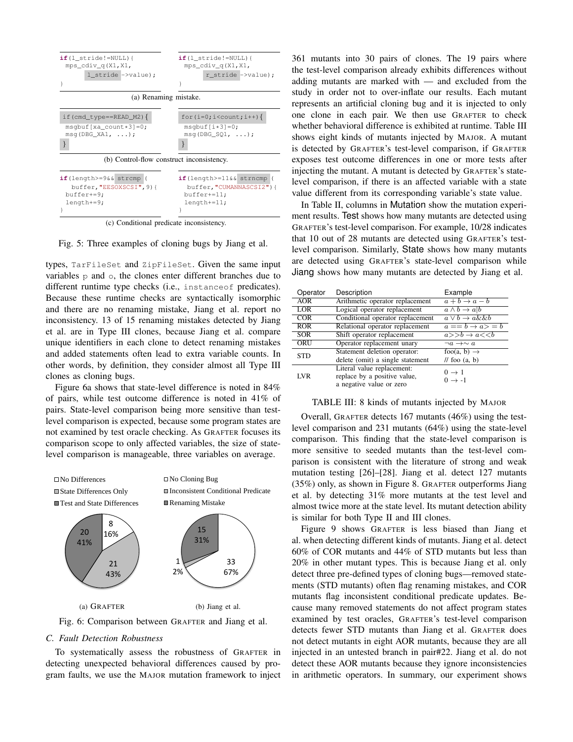<span id="page-7-0"></span>

(c) Conditional predicate inconsistency.

Fig. 5: Three examples of cloning bugs by Jiang et al.

types, TarFileSet and ZipFileSet. Given the same input variables p and o, the clones enter different branches due to different runtime type checks (i.e., instanceof predicates). Because these runtime checks are syntactically isomorphic and there are no renaming mistake, Jiang et al. report no inconsistency. 13 of 15 renaming mistakes detected by Jiang et al. are in Type III clones, because Jiang et al. compare unique identifiers in each clone to detect renaming mistakes and added statements often lead to extra variable counts. In other words, by definition, they consider almost all Type III clones as cloning bugs.

Figure [6a](#page-7-1) shows that state-level difference is noted in 84% of pairs, while test outcome difference is noted in 41% of pairs. State-level comparison being more sensitive than testlevel comparison is expected, because some program states are not examined by test oracle checking. As GRAFTER focuses its comparison scope to only affected variables, the size of statelevel comparison is manageable, three variables on average.

<span id="page-7-1"></span>

Fig. 6: Comparison between GRAFTER and Jiang et al.

# <span id="page-7-3"></span>*C. Fault Detection Robustness*

To systematically assess the robustness of GRAFTER in detecting unexpected behavioral differences caused by program faults, we use the MAJOR mutation framework to inject

361 mutants into 30 pairs of clones. The 19 pairs where the test-level comparison already exhibits differences without adding mutants are marked with — and excluded from the study in order not to over-inflate our results. Each mutant represents an artificial cloning bug and it is injected to only one clone in each pair. We then use GRAFTER to check whether behavioral difference is exhibited at runtime. Table [III](#page-7-2) shows eight kinds of mutants injected by MAJOR. A mutant is detected by GRAFTER's test-level comparison, if GRAFTER exposes test outcome differences in one or more tests after injecting the mutant. A mutant is detected by GRAFTER's statelevel comparison, if there is an affected variable with a state value different from its corresponding variable's state value.

In Table [II,](#page-6-0) columns in Mutation show the mutation experiment results. Test shows how many mutants are detected using GRAFTER's test-level comparison. For example, 10/28 indicates that 10 out of 28 mutants are detected using GRAFTER's testlevel comparison. Similarly, State shows how many mutants are detected using GRAFTER's state-level comparison while Jiang shows how many mutants are detected by Jiang et al.

<span id="page-7-2"></span>

| Operator   | Description                      | Example                                   |
|------------|----------------------------------|-------------------------------------------|
| AOR        | Arithmetic operator replacement  | $a+b\rightarrow a-b$                      |
| LOR        | Logical operator replacement     | $\overline{a \wedge b} \rightarrow a   b$ |
| COR        | Conditional operator replacement | $a \vee b \rightarrow a \&\& b$           |
| <b>ROR</b> | Relational operator replacement  | $a == b \rightarrow a > = b$              |
| <b>SOR</b> | Shift operator replacement       | $a>>b\rightarrow a<$                      |
| ORU        | Operator replacement unary       | $\neg a \rightarrow \sim a$               |
| <b>STD</b> | Statement deletion operator:     | foo(a, b) $\rightarrow$                   |
|            | delete (omit) a single statement | // foo $(a, b)$                           |
|            | Literal value replacement:       | $0 \rightarrow 1$                         |
| <b>LVR</b> | replace by a positive value,     | $0 \rightarrow -1$                        |
|            | a negative value or zero         |                                           |

#### TABLE III: 8 kinds of mutants injected by MAJOR

mutation is consistent while the increase of strong and weak (35%) only, as shown in Figure [8.](#page-8-3) GRAFTER outperforms Jiang Overall, GRAFTER detects 167 mutants (46%) using the testlevel comparison and 231 mutants (64%) using the state-level comparison. This finding that the state-level comparison is more sensitive to seeded mutants than the test-level comparison is consistent with the literature of strong and weak et al. by detecting 31% more mutants at the test level and almost twice more at the state level. Its mutant detection ability is similar for both Type II and III clones.

Figure [9](#page-8-4) shows GRAFTER is less biased than Jiang et al. when detecting different kinds of mutants. Jiang et al. detect 60% of COR mutants and 44% of STD mutants but less than 20% in other mutant types. This is because Jiang et al. only detect three pre-defined types of cloning bugs—removed statements (STD mutants) often flag renaming mistakes, and COR mutants flag inconsistent conditional predicate updates. Because many removed statements do not affect program states examined by test oracles, GRAFTER's test-level comparison detects fewer STD mutants than Jiang et al. GRAFTER does not detect mutants in eight AOR mutants, because they are all injected in an untested branch in pair#22. Jiang et al. do not detect these AOR mutants because they ignore inconsistencies in arithmetic operators. In summary, our experiment shows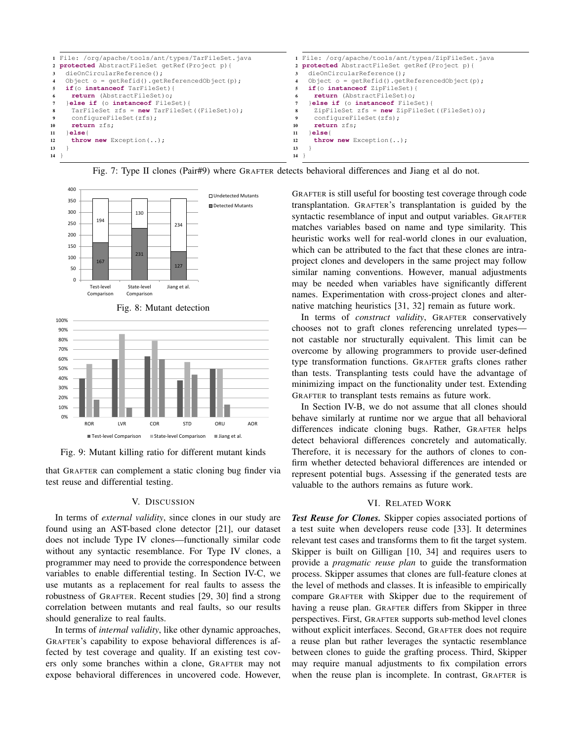<span id="page-8-2"></span>

Fig. 7: Type II clones (Pair#9) where GRAFTER detects behavioral differences and Jiang et al do not.

<span id="page-8-3"></span>

<span id="page-8-4"></span>

Fig. 9: Mutant killing ratio for different mutant kinds

that GRAFTER can complement a static cloning bug finder via test reuse and differential testing.

# V. DISCUSSION

<span id="page-8-0"></span>In terms of *external validity*, since clones in our study are found using an AST-based clone detector [\[21\]](#page-10-16), our dataset does not include Type IV clones—functionally similar code without any syntactic resemblance. For Type IV clones, a programmer may need to provide the correspondence between variables to enable differential testing. In Section [IV-C,](#page-7-3) we use mutants as a replacement for real faults to assess the robustness of GRAFTER. Recent studies [\[29,](#page-10-23) [30\]](#page-10-24) find a strong correlation between mutants and real faults, so our results should generalize to real faults.

In terms of *internal validity*, like other dynamic approaches, GRAFTER's capability to expose behavioral differences is affected by test coverage and quality. If an existing test covers only some branches within a clone, GRAFTER may not expose behavioral differences in uncovered code. However, GRAFTER is still useful for boosting test coverage through code transplantation. GRAFTER's transplantation is guided by the syntactic resemblance of input and output variables. GRAFTER matches variables based on name and type similarity. This heuristic works well for real-world clones in our evaluation, which can be attributed to the fact that these clones are intraproject clones and developers in the same project may follow similar naming conventions. However, manual adjustments may be needed when variables have significantly different names. Experimentation with cross-project clones and alternative matching heuristics [\[31,](#page-10-25) [32\]](#page-10-26) remain as future work.

In terms of *construct validity*, GRAFTER conservatively chooses not to graft clones referencing unrelated types not castable nor structurally equivalent. This limit can be overcome by allowing programmers to provide user-defined type transformation functions. GRAFTER grafts clones rather than tests. Transplanting tests could have the advantage of minimizing impact on the functionality under test. Extending GRAFTER to transplant tests remains as future work.

In Section [IV-B,](#page-5-5) we do not assume that all clones should behave similarly at runtime nor we argue that all behavioral differences indicate cloning bugs. Rather, GRAFTER helps detect behavioral differences concretely and automatically. Therefore, it is necessary for the authors of clones to confirm whether detected behavioral differences are intended or represent potential bugs. Assessing if the generated tests are valuable to the authors remains as future work.

# VI. RELATED WORK

<span id="page-8-1"></span>*Test Reuse for Clones.* Skipper copies associated portions of a test suite when developers reuse code [\[33\]](#page-10-27). It determines relevant test cases and transforms them to fit the target system. Skipper is built on Gilligan [\[10,](#page-10-7) [34\]](#page-10-28) and requires users to provide a *pragmatic reuse plan* to guide the transformation process. Skipper assumes that clones are full-feature clones at the level of methods and classes. It is infeasible to empirically compare GRAFTER with Skipper due to the requirement of having a reuse plan. GRAFTER differs from Skipper in three perspectives. First, GRAFTER supports sub-method level clones without explicit interfaces. Second, GRAFTER does not require a reuse plan but rather leverages the syntactic resemblance between clones to guide the grafting process. Third, Skipper may require manual adjustments to fix compilation errors when the reuse plan is incomplete. In contrast, GRAFTER is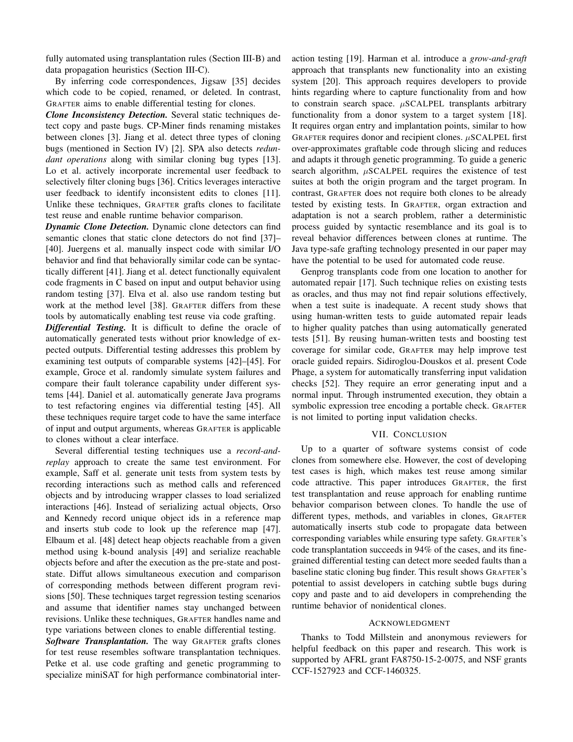fully automated using transplantation rules (Section [III-B\)](#page-3-1) and data propagation heuristics (Section [III-C\)](#page-4-0).

By inferring code correspondences, Jigsaw [\[35\]](#page-10-29) decides which code to be copied, renamed, or deleted. In contrast, GRAFTER aims to enable differential testing for clones.

*Clone Inconsistency Detection.* Several static techniques detect copy and paste bugs. CP-Miner finds renaming mistakes between clones [\[3\]](#page-10-1). Jiang et al. detect three types of cloning bugs (mentioned in Section [IV\)](#page-5-0) [\[2\]](#page-10-9). SPA also detects *redundant operations* along with similar cloning bug types [\[13\]](#page-10-10). Lo et al. actively incorporate incremental user feedback to selectively filter cloning bugs [\[36\]](#page-10-30). Critics leverages interactive user feedback to identify inconsistent edits to clones [\[11\]](#page-10-8). Unlike these techniques, GRAFTER grafts clones to facilitate test reuse and enable runtime behavior comparison.

*Dynamic Clone Detection.* Dynamic clone detectors can find semantic clones that static clone detectors do not find [\[37\]](#page-10-31)– [\[40\]](#page-10-32). Juergens et al. manually inspect code with similar I/O behavior and find that behaviorally similar code can be syntactically different [\[41\]](#page-10-33). Jiang et al. detect functionally equivalent code fragments in C based on input and output behavior using random testing [\[37\]](#page-10-31). Elva et al. also use random testing but work at the method level [\[38\]](#page-10-34). GRAFTER differs from these tools by automatically enabling test reuse via code grafting.

*Differential Testing.* It is difficult to define the oracle of automatically generated tests without prior knowledge of expected outputs. Differential testing addresses this problem by examining test outputs of comparable systems [\[42\]](#page-11-0)–[\[45\]](#page-11-1). For example, Groce et al. randomly simulate system failures and compare their fault tolerance capability under different systems [\[44\]](#page-11-2). Daniel et al. automatically generate Java programs to test refactoring engines via differential testing [\[45\]](#page-11-1). All these techniques require target code to have the same interface of input and output arguments, whereas GRAFTER is applicable to clones without a clear interface.

Several differential testing techniques use a *record-andreplay* approach to create the same test environment. For example, Saff et al. generate unit tests from system tests by recording interactions such as method calls and referenced objects and by introducing wrapper classes to load serialized interactions [\[46\]](#page-11-3). Instead of serializing actual objects, Orso and Kennedy record unique object ids in a reference map and inserts stub code to look up the reference map [\[47\]](#page-11-4). Elbaum et al. [\[48\]](#page-11-5) detect heap objects reachable from a given method using k-bound analysis [\[49\]](#page-11-6) and serialize reachable objects before and after the execution as the pre-state and poststate. Diffut allows simultaneous execution and comparison of corresponding methods between different program revisions [\[50\]](#page-11-7). These techniques target regression testing scenarios and assume that identifier names stay unchanged between revisions. Unlike these techniques, GRAFTER handles name and type variations between clones to enable differential testing.

*Software Transplantation.* The way GRAFTER grafts clones for test reuse resembles software transplantation techniques. Petke et al. use code grafting and genetic programming to specialize miniSAT for high performance combinatorial interaction testing [\[19\]](#page-10-35). Harman et al. introduce a *grow-and-graft* approach that transplants new functionality into an existing system [\[20\]](#page-10-15). This approach requires developers to provide hints regarding where to capture functionality from and how to constrain search space.  $\mu$ SCALPEL transplants arbitrary functionality from a donor system to a target system [\[18\]](#page-10-36). It requires organ entry and implantation points, similar to how GRAFTER requires donor and recipient clones.  $\mu$ SCALPEL first over-approximates graftable code through slicing and reduces and adapts it through genetic programming. To guide a generic search algorithm,  $\mu$ SCALPEL requires the existence of test suites at both the origin program and the target program. In contrast, GRAFTER does not require both clones to be already tested by existing tests. In GRAFTER, organ extraction and adaptation is not a search problem, rather a deterministic process guided by syntactic resemblance and its goal is to reveal behavior differences between clones at runtime. The Java type-safe grafting technology presented in our paper may have the potential to be used for automated code reuse.

Genprog transplants code from one location to another for automated repair [\[17\]](#page-10-14). Such technique relies on existing tests as oracles, and thus may not find repair solutions effectively, when a test suite is inadequate. A recent study shows that using human-written tests to guide automated repair leads to higher quality patches than using automatically generated tests [\[51\]](#page-11-8). By reusing human-written tests and boosting test coverage for similar code, GRAFTER may help improve test oracle guided repairs. Sidiroglou-Douskos et al. present Code Phage, a system for automatically transferring input validation checks [\[52\]](#page-11-9). They require an error generating input and a normal input. Through instrumented execution, they obtain a symbolic expression tree encoding a portable check. GRAFTER is not limited to porting input validation checks.

# VII. CONCLUSION

Up to a quarter of software systems consist of code clones from somewhere else. However, the cost of developing test cases is high, which makes test reuse among similar code attractive. This paper introduces GRAFTER, the first test transplantation and reuse approach for enabling runtime behavior comparison between clones. To handle the use of different types, methods, and variables in clones, GRAFTER automatically inserts stub code to propagate data between corresponding variables while ensuring type safety. GRAFTER's code transplantation succeeds in 94% of the cases, and its finegrained differential testing can detect more seeded faults than a baseline static cloning bug finder. This result shows GRAFTER's potential to assist developers in catching subtle bugs during copy and paste and to aid developers in comprehending the runtime behavior of nonidentical clones.

# ACKNOWLEDGMENT

Thanks to Todd Millstein and anonymous reviewers for helpful feedback on this paper and research. This work is supported by AFRL grant FA8750-15-2-0075, and NSF grants CCF-1527923 and CCF-1460325.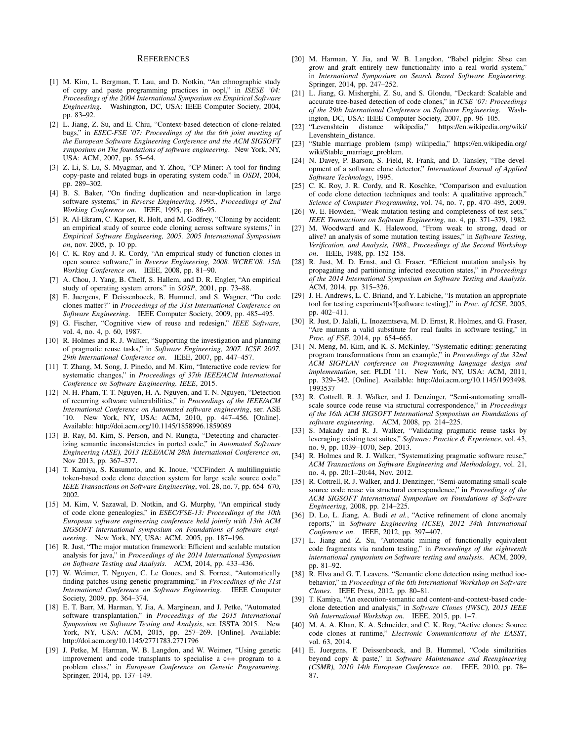#### REFERENCES

- <span id="page-10-0"></span>[1] M. Kim, L. Bergman, T. Lau, and D. Notkin, "An ethnographic study of copy and paste programming practices in oopl," in *ISESE '04: Proceedings of the 2004 International Symposium on Empirical Software Engineering*. Washington, DC, USA: IEEE Computer Society, 2004, pp. 83–92.
- <span id="page-10-9"></span>[2] L. Jiang, Z. Su, and E. Chiu, "Context-based detection of clone-related bugs," in *ESEC-FSE '07: Proceedings of the the 6th joint meeting of the European Software Engineering Conference and the ACM SIGSOFT symposium on The foundations of software engineering*. New York, NY, USA: ACM, 2007, pp. 55–64.
- <span id="page-10-1"></span>[3] Z. Li, S. Lu, S. Myagmar, and Y. Zhou, "CP-Miner: A tool for finding copy-paste and related bugs in operating system code." in *OSDI*, 2004, pp. 289–302.
- <span id="page-10-2"></span>[4] B. S. Baker, "On finding duplication and near-duplication in large software systems," in *Reverse Engineering, 1995., Proceedings of 2nd Working Conference on*. IEEE, 1995, pp. 86–95.
- [5] R. Al-Ekram, C. Kapser, R. Holt, and M. Godfrey, "Cloning by accident: an empirical study of source code cloning across software systems," in *Empirical Software Engineering, 2005. 2005 International Symposium on*, nov. 2005, p. 10 pp.
- <span id="page-10-3"></span>[6] C. K. Roy and J. R. Cordy, "An empirical study of function clones in open source software," in *Reverse Engineering, 2008. WCRE'08. 15th Working Conference on*. IEEE, 2008, pp. 81–90.
- <span id="page-10-4"></span>[7] A. Chou, J. Yang, B. Chelf, S. Hallem, and D. R. Engler, "An empirical study of operating system errors." in *SOSP*, 2001, pp. 73–88.
- <span id="page-10-5"></span>[8] E. Juergens, F. Deissenboeck, B. Hummel, and S. Wagner, "Do code clones matter?" in *Proceedings of the 31st International Conference on Software Engineering*. IEEE Computer Society, 2009, pp. 485–495.
- <span id="page-10-6"></span>[9] G. Fischer, "Cognitive view of reuse and redesign," *IEEE Software*, vol. 4, no. 4, p. 60, 1987.
- <span id="page-10-7"></span>[10] R. Holmes and R. J. Walker, "Supporting the investigation and planning of pragmatic reuse tasks," in *Software Engineering, 2007. ICSE 2007. 29th International Conference on*. IEEE, 2007, pp. 447–457.
- <span id="page-10-8"></span>[11] T. Zhang, M. Song, J. Pinedo, and M. Kim, "Interactive code review for systematic changes," in *Proceedings of 37th IEEE/ACM International Conference on Software Engineering. IEEE*, 2015.
- [12] N. H. Pham, T. T. Nguyen, H. A. Nguyen, and T. N. Nguyen, "Detection of recurring software vulnerabilities," in *Proceedings of the IEEE/ACM International Conference on Automated software engineering*, ser. ASE '10. New York, NY, USA: ACM, 2010, pp. 447–456. [Online]. Available:<http://doi.acm.org/10.1145/1858996.1859089>
- <span id="page-10-10"></span>[13] B. Ray, M. Kim, S. Person, and N. Rungta, "Detecting and characterizing semantic inconsistencies in ported code," in *Automated Software Engineering (ASE), 2013 IEEE/ACM 28th International Conference on*, Nov 2013, pp. 367–377.
- <span id="page-10-11"></span>[14] T. Kamiya, S. Kusumoto, and K. Inoue, "CCFinder: A multilinguistic token-based code clone detection system for large scale source code." *IEEE Transactions on Software Engineering*, vol. 28, no. 7, pp. 654–670, 2002.
- <span id="page-10-12"></span>[15] M. Kim, V. Sazawal, D. Notkin, and G. Murphy, "An empirical study of code clone genealogies," in *ESEC/FSE-13: Proceedings of the 10th European software engineering conference held jointly with 13th ACM SIGSOFT international symposium on Foundations of software engineering*. New York, NY, USA: ACM, 2005, pp. 187–196.
- <span id="page-10-13"></span>[16] R. Just, "The major mutation framework: Efficient and scalable mutation analysis for java," in *Proceedings of the 2014 International Symposium on Software Testing and Analysis*. ACM, 2014, pp. 433–436.
- <span id="page-10-14"></span>[17] W. Weimer, T. Nguyen, C. Le Goues, and S. Forrest, "Automatically finding patches using genetic programming," in *Proceedings of the 31st International Conference on Software Engineering*. IEEE Computer Society, 2009, pp. 364–374.
- <span id="page-10-36"></span>[18] E. T. Barr, M. Harman, Y. Jia, A. Marginean, and J. Petke, "Automated software transplantation," in *Proceedings of the 2015 International Symposium on Software Testing and Analysis*, ser. ISSTA 2015. New York, NY, USA: ACM, 2015, pp. 257–269. [Online]. Available: <http://doi.acm.org/10.1145/2771783.2771796>
- <span id="page-10-35"></span>[19] J. Petke, M. Harman, W. B. Langdon, and W. Weimer, "Using genetic improvement and code transplants to specialise a c++ program to a problem class," in *European Conference on Genetic Programming*. Springer, 2014, pp. 137–149.
- <span id="page-10-15"></span>[20] M. Harman, Y. Jia, and W. B. Langdon, "Babel pidgin: Sbse can grow and graft entirely new functionality into a real world system," in *International Symposium on Search Based Software Engineering*. Springer, 2014, pp. 247–252.
- <span id="page-10-16"></span>[21] L. Jiang, G. Misherghi, Z. Su, and S. Glondu, "Deckard: Scalable and accurate tree-based detection of code clones," in *ICSE '07: Proceedings of the 29th International Conference on Software Engineering*. Washington, DC, USA: IEEE Computer Society, 2007, pp. 96–105.
- <span id="page-10-17"></span>[22] "Levenshtein distance wikipedia," [https://en.wikipedia.org/wiki/](https://en.wikipedia.org/wiki/Levenshtein_distance) [Levenshtein](https://en.wikipedia.org/wiki/Levenshtein_distance)\_distance.
- <span id="page-10-18"></span>[23] "Stable marriage problem (smp) wikipedia," [https://en.wikipedia.org/](https://en.wikipedia.org/wiki/Stable_marriage_problem) [wiki/Stable](https://en.wikipedia.org/wiki/Stable_marriage_problem)\_marriage\_problem.
- <span id="page-10-19"></span>[24] N. Davey, P. Barson, S. Field, R. Frank, and D. Tansley, "The development of a software clone detector," *International Journal of Applied Software Technology*, 1995.
- <span id="page-10-20"></span>[25] C. K. Roy, J. R. Cordy, and R. Koschke, "Comparison and evaluation of code clone detection techniques and tools: A qualitative approach," *Science of Computer Programming*, vol. 74, no. 7, pp. 470–495, 2009.
- <span id="page-10-21"></span>[26] W. E. Howden, "Weak mutation testing and completeness of test sets," *IEEE Transactions on Software Engineering*, no. 4, pp. 371–379, 1982.
- [27] M. Woodward and K. Halewood, "From weak to strong, dead or alive? an analysis of some mutation testing issues," in *Software Testing, Verification, and Analysis, 1988., Proceedings of the Second Workshop on*. IEEE, 1988, pp. 152–158.
- <span id="page-10-22"></span>[28] R. Just, M. D. Ernst, and G. Fraser, "Efficient mutation analysis by propagating and partitioning infected execution states," in *Proceedings of the 2014 International Symposium on Software Testing and Analysis*. ACM, 2014, pp. 315–326.
- <span id="page-10-23"></span>[29] J. H. Andrews, L. C. Briand, and Y. Labiche, "Is mutation an appropriate tool for testing experiments?[software testing]," in *Proc. of ICSE*, 2005, pp. 402–411.
- <span id="page-10-24"></span>[30] R. Just, D. Jalali, L. Inozemtseva, M. D. Ernst, R. Holmes, and G. Fraser, "Are mutants a valid substitute for real faults in software testing," in *Proc. of FSE*, 2014, pp. 654–665.
- <span id="page-10-25"></span>[31] N. Meng, M. Kim, and K. S. McKinley, "Systematic editing: generating program transformations from an example," in *Proceedings of the 32nd ACM SIGPLAN conference on Programming language design and implementation*, ser. PLDI '11. New York, NY, USA: ACM, 2011, pp. 329–342. [Online]. Available: [http://doi.acm.org/10.1145/1993498.](http://doi.acm.org/10.1145/1993498.1993537) [1993537](http://doi.acm.org/10.1145/1993498.1993537)
- <span id="page-10-26"></span>[32] R. Cottrell, R. J. Walker, and J. Denzinger, "Semi-automating smallscale source code reuse via structural correspondence," in *Proceedings of the 16th ACM SIGSOFT International Symposium on Foundations of software engineering*. ACM, 2008, pp. 214–225.
- <span id="page-10-27"></span>[33] S. Makady and R. J. Walker, "Validating pragmatic reuse tasks by leveraging existing test suites," *Software: Practice & Experience*, vol. 43, no. 9, pp. 1039–1070, Sep. 2013.
- <span id="page-10-28"></span>[34] R. Holmes and R. J. Walker, "Systematizing pragmatic software reuse," *ACM Transactions on Software Engineering and Methodology*, vol. 21, no. 4, pp. 20:1–20:44, Nov. 2012.
- <span id="page-10-29"></span>[35] R. Cottrell, R. J. Walker, and J. Denzinger, "Semi-automating small-scale source code reuse via structural correspondence," in *Proceedings of the ACM SIGSOFT International Symposium on Foundations of Software Engineering*, 2008, pp. 214–225.
- <span id="page-10-30"></span>[36] D. Lo, L. Jiang, A. Budi et al., "Active refinement of clone anomaly reports," in *Software Engineering (ICSE), 2012 34th International Conference on*. IEEE, 2012, pp. 397–407.
- <span id="page-10-31"></span>[37] L. Jiang and Z. Su, "Automatic mining of functionally equivalent code fragments via random testing," in *Proceedings of the eighteenth international symposium on Software testing and analysis*. ACM, 2009, pp. 81–92.
- <span id="page-10-34"></span>[38] R. Elva and G. T. Leavens, "Semantic clone detection using method ioebehavior," in *Proceedings of the 6th International Workshop on Software Clones*. IEEE Press, 2012, pp. 80–81.
- [39] T. Kamiya, "An execution-semantic and content-and-context-based codeclone detection and analysis," in *Software Clones (IWSC), 2015 IEEE 9th International Workshop on*. IEEE, 2015, pp. 1–7.
- <span id="page-10-32"></span>[40] M. A. A. Khan, K. A. Schneider, and C. K. Roy, "Active clones: Source code clones at runtime," *Electronic Communications of the EASST*, vol. 63, 2014.
- <span id="page-10-33"></span>[41] E. Juergens, F. Deissenboeck, and B. Hummel, "Code similarities beyond copy & paste," in *Software Maintenance and Reengineering (CSMR), 2010 14th European Conference on*. IEEE, 2010, pp. 78– 87.